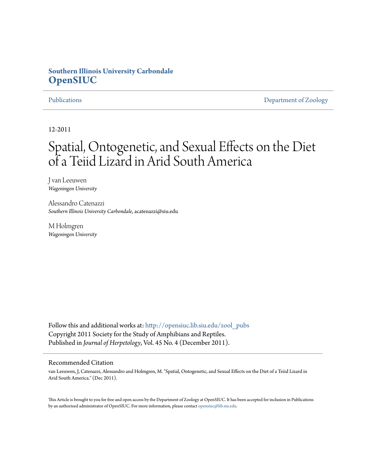## **Southern Illinois University Carbondale [OpenSIUC](http://opensiuc.lib.siu.edu?utm_source=opensiuc.lib.siu.edu%2Fzool_pubs%2F64&utm_medium=PDF&utm_campaign=PDFCoverPages)**

[Publications](http://opensiuc.lib.siu.edu/zool_pubs?utm_source=opensiuc.lib.siu.edu%2Fzool_pubs%2F64&utm_medium=PDF&utm_campaign=PDFCoverPages) **[Department of Zoology](http://opensiuc.lib.siu.edu/zool?utm_source=opensiuc.lib.siu.edu%2Fzool_pubs%2F64&utm_medium=PDF&utm_campaign=PDFCoverPages)** 

12-2011

# Spatial, Ontogenetic, and Sexual Effects on the Diet of a Teiid Lizard in Arid South America

J van Leeuwen *Wageningen University*

Alessandro Catenazzi *Southern Illinois University Carbondale*, acatenazzi@siu.edu

M Holmgren *Wageningen University*

Follow this and additional works at: [http://opensiuc.lib.siu.edu/zool\\_pubs](http://opensiuc.lib.siu.edu/zool_pubs?utm_source=opensiuc.lib.siu.edu%2Fzool_pubs%2F64&utm_medium=PDF&utm_campaign=PDFCoverPages) Copyright 2011 Society for the Study of Amphibians and Reptiles. Published in *Journal of Herpetology*, Vol. 45 No. 4 (December 2011).

### Recommended Citation

van Leeuwen, J, Catenazzi, Alessandro and Holmgren, M. "Spatial, Ontogenetic, and Sexual Effects on the Diet of a Teiid Lizard in Arid South America." (Dec 2011).

This Article is brought to you for free and open access by the Department of Zoology at OpenSIUC. It has been accepted for inclusion in Publications by an authorized administrator of OpenSIUC. For more information, please contact [opensiuc@lib.siu.edu.](mailto:opensiuc@lib.siu.edu)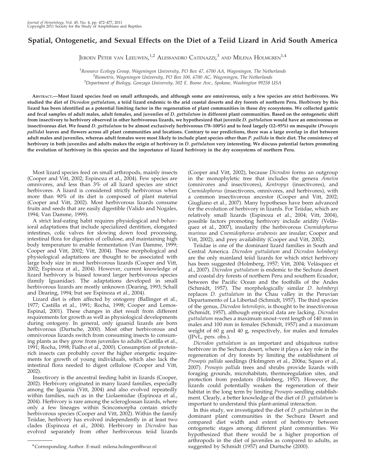### Spatial, Ontogenetic, and Sexual Effects on the Diet of a Teiid Lizard in Arid South America

Jeroen Peter van Leeuwen, $^{1,2}$  Alessandro Catenazzi, $^3$  and Milena Holmgren $^{1,4}$ 

<sup>1</sup> Resource Ecology Group, Wageningen University, PO Box 47, 6700 AA, Wageningen, The Netherlands  $B^2$ Biometris, Wageningen University, PO Box 100, 6700 AC, Wageningen, The Netherlands <sup>3</sup>Department of Biology, Gonzaga University, 502 E. Boone Ave., Spokane, Washington 99258 USA

ABSTRACT.—Most lizard species feed on small arthropods, and although some are omnivorous, only a few species are strict herbivores. We studied the diet of Dicrodon guttulatum, a teiid lizard endemic to the arid coastal deserts and dry forests of northern Peru. Herbivory by this lizard has been identified as a potential limiting factor in the regeneration of plant communities in these dry ecosystems. We collected gastric and fecal samples of adult males, adult females, and juveniles of D. guttulatum in different plant communities. Based on the ontogenetic shift from insectivory to herbivory observed in other herbivorous lizards, we hypothesized that juvenile D. guttulatum would have an omnivorous or insectivorous diet. We found D. guttulatum to be almost exclusively herbivorous (78–100%) and to feed largely (12–95%) on mesquite (Prosopis pallida) leaves and flowers across all plant communities and locations. Contrary to our predictions, there was a large overlap in diet between adult males and juveniles, whereas adult females were most likely to include plant species other than P. pallida in their diet. The consistency of herbivory in both juveniles and adults makes the origin of herbivory in D. guttulatum very interesting. We discuss potential factors promoting the evolution of herbivory in this species and the importance of lizard herbivory in the dry ecosystems of northern Peru.

Most lizard species feed on small arthropods, mainly insects (Cooper and Vitt, 2002; Espinoza et al., 2004). Few species are omnivores, and less than 3% of all lizard species are strict herbivores. A lizard is considered strictly herbivorous when more than 90% of its diet is composed of plant material (Cooper and Vitt, 2002). Most herbivorous lizards consume fruits and seeds that are easily digestible (Valido and Nogales, 1994; Van Damme, 1999).

A strict leaf-eating habit requires physiological and behavioral adaptations that include specialized dentition, elongated intestines, colic valves for slowing down food processing, intestinal flora for digestion of cellulose, and maintaining high body temperature to enable fermentation (Van Damme, 1999; Cooper and Vitt, 2002; Vitt, 2004). These morphological and physiological adaptations are thought to be associated with large body size in most herbivorous lizards (Cooper and Vitt, 2002; Espinoza et al., 2004). However, current knowledge of lizard herbivory is biased toward larger herbivorous species (family Iguanidae). The adaptations developed in small herbivorous lizards are mostly unknown (Dearing, 1993; Schall and Dearing, 1994; but see Espinoza et al., 2004).

Lizard diet is often affected by ontogeny (Ballinger et al., 1977; Castilla et al., 1991; Rocha, 1998; Cooper and Lemos-Espinal, 2001). These changes in diet result from different requirements for growth as well as physiological developments during ontogeny. In general, only iguanid lizards are born herbivorous (Durtsche, 2000). Most other herbivorous and omnivorous lizards switch from consuming insects to consuming plants as they grow from juveniles to adults (Castilla et al., 1991; Rocha, 1998; Fialho et al., 2000). Consumption of proteinrich insects can probably cover the higher energetic requirements for growth of young individuals, which also lack the intestinal flora needed to digest cellulose (Cooper and Vitt, 2002).

Insectivory is the ancestral feeding habit in lizards (Cooper, 2002). Herbivory originated in many lizard families, especially among the Iguania (Vitt, 2004) and also evolved repeatedly within families, such as in the Liolaemidae (Espinoza et al., 2004). Herbivory is rare among the scleroglossan lizards, where only a few lineages within Scincomorpha contain strictly herbivorous species (Cooper and Vitt, 2002). Within the family Teiidae, herbivory has evolved independently in at least two clades (Espinoza et al., 2004). Herbivory in Dicrodon has evolved separately from other herbivorous teiid lizards

(Cooper and Vitt, 2002), because Dicrodon forms an outgroup in the monophyletic tree that includes the genera Ameiva (omnivores and insectivores), Kentropyx (insectivores), and Cnemidophorus (insectivores, omnivores, and herbivores), with a common insectivorous ancestor (Cooper and Vitt, 2002; Giugliano et al., 2007). Many hypotheses have been advanced for the evolution of herbivory in lizards. For Teiidae, which are relatively small lizards (Espinoza et al., 2004; Vitt, 2004), possible factors promoting herbivory include aridity (Velásquez et al., 2007), insularity (the herbivorous Cnemidophorus murinus and Cnemidophorus arubensis are insular; Cooper and Vitt, 2002), and prey availability (Cooper and Vitt, 2002).

Teiidae is one of the dominant lizard families in South and Central America. Dicrodon guttulatum and Dicrodon holmbergi are the only mainland teiid lizards for which strict herbivory has been suggested (Holmberg, 1957; Vitt, 2004; Velásquez et al., 2007). Dicrodon guttulatum is endemic to the Sechura desert and coastal dry forests of northern Peru and southern Ecuador, between the Pacific Ocean and the foothills of the Andes (Schmidt, 1957). The morphologically similar D. holmbergi replaces D. guttulatum in the Chau valley in the Peruvian Departamento of La Libertad (Schmidt, 1957). The third species of the genus, Dicrodon heterolepis, is thought to be insectivorous (Schmidt, 1957), although empirical data are lacking. Dicrodon guttulatum reaches a maximum snout–vent length of 140 mm in males and 100 mm in females (Schmidt, 1957) and a maximum weight of 60 g and 40 g, respectively, for males and females (JPvL, pers. obs.).

Dicrodon guttulatum is an important and ubiquitous native herbivore in the Sechura desert, where it plays a key role in the regeneration of dry forests by limiting the establishment of Prosopis pallida seedlings (Holmgren et al., 2006a; Squeo et al., 2007). Prosopis pallida trees and shrubs provide lizards with foraging grounds, microhabitats, thermoregulation sites, and protection from predators (Holmberg, 1957). However, the lizards could potentially weaken the regeneration of their habitat in the long term by limiting Prosopis seedling establishment. Clearly, a better knowledge of the diet of D. guttulatum is important to understand this plant-animal interaction.

In this study, we investigated the diet of D. guttulatum in the dominant plant communities in the Sechura Desert and compared diet width and extent of herbivory between ontogenetic stages among different plant communities. We hypothesized that there would be a higher proportion of arthropods in the diet of juveniles as compared to adults, as suggested by Schmidt (1957) and Durtsche (2000). <sup>4</sup> Corresponding Author. E-mail: milena.holmgren@wur.nl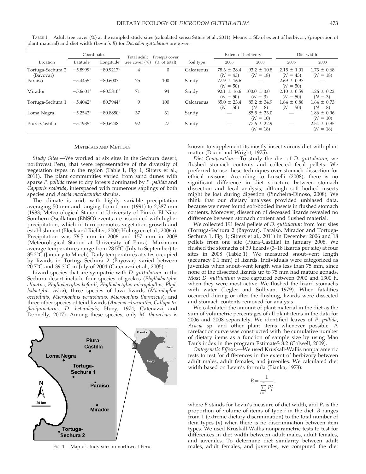|                                | Coordinates           |                    | Total adult        | Prosopis cover   |            | Extent of herbivory           |                               | Diet width                    |                               |  |
|--------------------------------|-----------------------|--------------------|--------------------|------------------|------------|-------------------------------|-------------------------------|-------------------------------|-------------------------------|--|
| Location                       | Latitude<br>Longitude |                    | tree cover $(\% )$ | ( $\%$ of total) | Soil type  | 2006                          | 2008                          | 2006                          | 2008                          |  |
| Tortuga-Sechura 2<br>(Bayovar) | $-5.8999$ °           | $-80.9217^{\circ}$ | 4                  | $\Omega$         | Calcareous | $78.3 \pm 28.4$<br>$(N = 43)$ | $93.2 \pm 10.8$<br>$(N = 18)$ | $2.15 \pm 1.01$<br>$(N = 43)$ | $1.73 \pm 0.68$<br>$(N = 18)$ |  |
| Paraiso                        | $-5.4455^{\circ}$     | $-80.6007^{\circ}$ | 75                 | 100              | Sandy      | $77.9 \pm 16.6$<br>$(N = 50)$ |                               | $2.69 \pm 0.97$<br>$(N = 50)$ |                               |  |
| Mirador                        | $-5.6601^{\circ}$     | $-80.5810^{\circ}$ | 71                 | 94               | Sandy      | $92.1 \pm 16.6$<br>$(N = 50)$ | $100.0 \pm 0.0$<br>$(N = 3)$  | $2.10 \pm 0.59$<br>$(N = 50)$ | $1.26 \pm 0.22$<br>$(N = 3)$  |  |
| Tortuga-Sechura 1              | $-5.4042^{\circ}$     | $-80.7944^{\circ}$ | 9                  | 100              | Calcareous | $85.0 \pm 23.4$<br>$(N = 50)$ | $85.2 \pm 34.9$<br>$(N = 8)$  | $1.84 \pm 0.80$<br>$(N = 50)$ | $1.64 \pm 0.73$<br>$(N = 8)$  |  |
| Loma Negra                     | $-5.2542^{\circ}$     | $-80.8880^{\circ}$ | 37                 | 31               | Sandy      |                               | $85.5 \pm 23.0$<br>$(N = 10)$ |                               | $1.86 \pm 0.96$<br>$(N = 10)$ |  |
| Piura-Castilla                 | $-5.1935^{\circ}$     | $-80.6248^{\circ}$ | 92                 | 27               | Sandy      |                               | $77.6 \pm 22.9$<br>$(N = 18)$ |                               | $2.54 \pm 0.95$<br>$(N = 18)$ |  |

TABLE 1. Adult tree cover (%) at the sampled study sites (calculated sensu Sitters et al., 2011). Means  $\pm$  SD of extent of herbivory (proportion of plant material) and diet width (Levin's B) for Dicrodon guttulatum are given.

### MATERIALS AND METHODS

Study Sites.—We worked at six sites in the Sechura desert, northwest Peru, that were representative of the diversity of vegetation types in the region (Table 1, Fig. 1, Sitters et al., 2011). The plant communities varied from sand dunes with sparse P. pallida trees to dry forests dominated by P. pallida and Capparis scabrida, interspaced with numerous saplings of both species and Acacia macracantha shrubs.

The climate is arid, with highly variable precipitation averaging 50 mm and ranging from  $\dot{0}$  mm  $(1991)$  to 2,387 mm (1983; Meteorological Station at University of Piura). El Niño Southern Oscillation (ENSO) events are associated with higher precipitation, which in turn promotes vegetation growth and establishment (Block and Richter, 2000; Holmgren et al., 2006a). Precipitation was 76.5 mm in 2006 and 157 mm in 2008 (Meteorological Station at University of Piura). Maximum average temperatures range from  $28.5^{\circ}C$  (July to September) to  $35.2^{\circ}$ C (January to March). Daily temperatures at sites occupied by lizards in Tortuga-Sechura 2 (Bayovar) varied between 20.7 $\degree$ C and 39.3 $\degree$ C in July of 2004 (Catenazzi et al., 2005).

Lizard species that are sympatric with D. guttulatum in the Sechura desert include four species of geckos (Phyllodactylus clinatus, Phyllodactylus kofordi, Phyllodactylus microphyllus, Phyllodactylus reissi), three species of lava lizards (Microlophus occipitalis, Microlophus peruvianus, Microlophus thoracicus), and three other species of teiid lizards (Ameiva edracantha, Callopistes flavipunctatus, D. heterolepis; Huey, 1974; Catenazzi and Donnelly, 2007). Among these species, only M. thoracicus is



known to supplement its mostly insectivorous diet with plant matter (Dixon and Wright, 1975).

Diet Composition.—To study the diet of D. guttulatum, we flushed stomach contents and collected fecal pellets. We preferred to use these techniques over stomach dissection for ethical reasons. According to Luiselli (2008), there is no significant difference in diet structure between stomach dissection and fecal analysis, although soft bodied insects might be lost during digestion (Pincheira-Dinoso, 2008). We think that our dietary analyses provided unbiased data, because we never found soft-bodied insects in flushed stomach contents. Moreover, dissection of deceased lizards revealed no difference between stomach content and flushed material.

We collected 191 fecal pellets of *D. guttulatum* from four sites (Tortuga-Sechura 2 (Bayovar), Paraiso, Mirador and Tortuga-Sechura 1, Fig. 1; Sitters et al., 2011) in December 2006 and 18 pellets from one site (Piura-Castilla) in January 2008. We flushed the stomachs of 39 lizards (3–18 lizards per site) at four sites in 2008 (Table 1). We measured snout–vent length (accuracy 0.1 mm) of lizards. Individuals were categorized as juveniles when snout–vent length was less than 75 mm, since none of the dissected lizards up to 75 mm had mature gonads. Most D. guttulatum were captured between 0900 and 1300 h, when they were most active. We flushed the lizard stomachs with water (Legler and Sullivan, 1979). When fatalities occurred during or after the flushing, lizards were dissected and stomach contents removed for analysis.

We calculated the amount of plant material in the diet as the sum of volumetric percentages of all plant items in the data for 2006 and 2008 separately. We identified leaves of P. pallida, Acacia sp. and other plant items whenever possible. A rarefaction curve was constructed with the cumulative number of dietary items as a function of sample size by using Mao Tau's index in the program EstimateS 8.2 (Colwell, 2009).

Ontogenetic Effects.—We used Kruskall-Wallis nonparametric tests to test for differences in the extent of herbivory between adult males, adult females, and juveniles. We calculated diet width based on Levin's formula (Pianka, 1973):

$$
B = \frac{1}{\sum_{i=1}^{n} P_i^2}
$$

,

where *B* stands for Levin's measure of diet width, and  $P_i$  is the proportion of volume of items of type  $i$  in the diet.  $B$  ranges from 1 (extreme dietary discrimination) to the total number of item types (n) when there is no discrimination between item types. We used Kruskall-Wallis nonparametric tests to test for differences in diet width between adult males, adult females, and juveniles. To determine diet similarity between adult FIG. 1. Map of study sites in northwest Peru. males, adult females, and juveniles, we computed the diet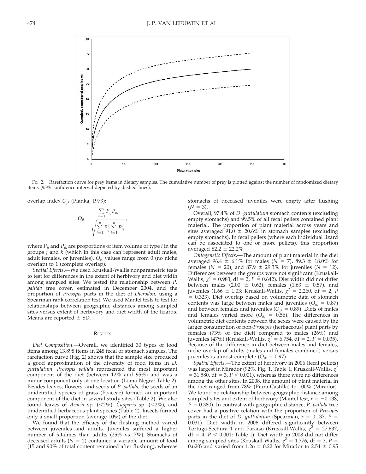

FIG. 2. Rarefaction curve for prey items in dietary samples. The cumulative number of prey is plotted against the number of randomized dietary items (95% confidence interval depicted by dashed lines).

overlap index  $O_{ik}$  (Pianka, 1973):

$$
O_{jk} = \frac{\sum_{n=1} P_{ij} P_{ik}}{\sqrt{\sum_{i=1}^{n} P_{ij}^2 \sum_{i=1}^{n} P_{ik}^2}},
$$

where  $P_{ii}$  and  $P_{ik}$  are proportions of item volume of type *i* in the groups  $j$  and  $k$  (which in this case can represent adult males, adult females, or juveniles).  $O_{ik}$  values range from 0 (no niche overlap) to 1 (complete overlap).

Spatial Effects.—We used Kruskall-Wallis nonparametric tests to test for differences in the extent of herbivory and diet width among sampled sites. We tested the relationship between P. pallida tree cover, estimated in December 2004, and the proportion of Prosopis parts in the diet of Dicrodon, using a Spearman rank correlation test. We used Mantel tests to test for relationships between geographic distances among sampled sites versus extent of herbivory and diet width of the lizards. Means are reported  $\pm$  SD.

### **RESULTS**

Diet Composition.—Overall, we identified 30 types of food items among 13,898 items in 248 fecal or stomach samples. The rarefaction curve (Fig. 2) shows that the sample size produced a good approximation of the diversity of food items in D. guttulatum. Prosopis pallida represented the most important component of the diet (between 12% and 95%) and was a minor component only at one location (Loma Negra; Table 2). Besides leaves, flowers, and seeds of P. pallida, the seeds of an unidentified species of grass (Poaceae) formed an important component of the diet in several study sites (Table 2). We also found leaves of Acacia sp. (<2%), Capparis sp. (<2%), and unidentified herbaceous plant species (Table 2). Insects formed only a small proportion (average 10%) of the diet.

We found that the efficacy of the flushing method varied between juveniles and adults. Juveniles suffered a higher number of fatalities than adults (25% vs. 7%). Stomachs of deceased adults ( $N = 2$ ) contained a variable amount of food (15 and 90% of total content remained after flushing), whereas stomachs of deceased juveniles were empty after flushing  $(N = 3)$ .

Overall, 97.4% of D. guttulatum stomach contents (excluding empty stomachs) and 99.5% of all fecal pellets contained plant material. The proportion of plant material across years and sites averaged 91.0  $\pm$  20.6% in stomach samples (excluding empty stomachs). In fecal pellets (where each individual lizard can be associated to one or more pellets), this proportion averaged 82.2  $\pm$  22.2%.

Ontogenetic Effects.—The amount of plant material in the diet averaged 96.4  $\pm$  6.1% for males (N = 7), 89.3  $\pm$  18.0% for females ( $N = 20$ ), and 87.9  $\pm$  29.3% for juveniles ( $N = 12$ ). Differences between the groups were not significant (Kruskall-Wallis,  $\chi^2$  = 0.983, df = 2, P = 0.642). Diet width did not differ between males (2.00  $\pm$  0.62), females (1.63  $\pm$  0.57), and juveniles (1.66  $\pm$  1.03; Kruskall-Wallis,  $\chi^2$  = 2.260, df = 2, P  $= 0.323$ ). Diet overlap based on volumetric data of stomach contents was large between males and juveniles ( $O_{jk} = 0.87$ ) and between females and juveniles ( $O_{ik} = 0.89$ ). Diets of males and females varied more ( $O_{jk} = 0.56$ ). The differences in volumetric diet contents between the sexes were caused by the larger consumption of non-Prosopis (herbaceous) plant parts by females (73% of the diet) compared to males (26%) and juveniles (47%) (Kruskall-Wallis,  $\bar{\chi}^2 = 6.754$ , df = 2, P = 0.035). Because of the difference in diet between males and females, niche overlap of adults (males and females combined) versus juveniles is almost complete ( $O_{ik} = 0.97$ ).

Spatial Effects.—The extent of herbivory in 2006 (fecal pellets) was largest in Mirador (92%, Fig. 1, Table 1, Kruskall-Wallis,  $\chi$  $= 31.580$ , df  $= 3$ ,  $P < 0.001$ ), whereas there were no differences among the other sites. In 2008, the amount of plant material in the diet ranged from 78% (Piura-Castilla) to 100% (Mirador). We found no relationship between geographic distance among sampled sites and extent of herbivory (Mantel test,  $r = -0.138$ ,  $P = 0.380$ ). In contrast with geographic distance, P. pallida tree cover had a positive relation with the proportion of Prosopis parts in the diet of D. guttulatum (Spearman,  $r = 0.137$ ,  $P =$ 0.031). Diet width in 2006 differed significantly between Tortuga-Sechura 1 and Paraiso (Kruskall-Wallis,  $\chi^2 = 27.637$ ,  $df = 4$ ,  $P < 0.001$ ; Table 1). Diet width in 2008 did not differ among sampled sites (Kruskall-Wallis,  $\chi^2 = 1.776$ , df = 3, P = 0.620) and varied from 1.26  $\pm$  0.22 for Mirador to 2.54  $\pm$  0.95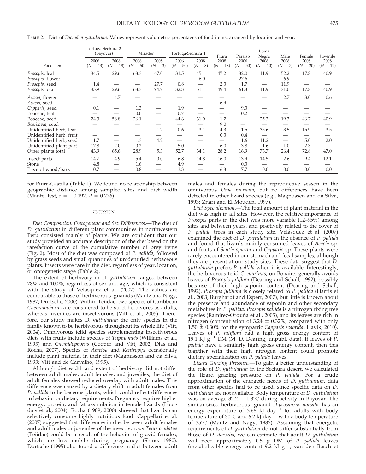|                          | Tortuga-Sechura 2<br>(Bayovar) |                          | Mirador               |                          | Tortuga-Sechura 1     |                   | Piura                               | Paraiso                         | Loma<br>Negra                       | Male                     | Female             | Juvenile           |
|--------------------------|--------------------------------|--------------------------|-----------------------|--------------------------|-----------------------|-------------------|-------------------------------------|---------------------------------|-------------------------------------|--------------------------|--------------------|--------------------|
| Food item                | 2006<br>$(N = 43)$             | 2008<br>$(N = 18)$       | 2006<br>50)<br>$(N =$ | 2008<br>$(N = 3)$        | 2006<br>50)<br>$(N =$ | 2008<br>$(N = 8)$ | 2008<br>$= 18$<br>(N <sup>2</sup> ) | 2006<br>$(N = 50)$              | 2008<br>$= 10$<br>(N <sup>2</sup> ) | 2008<br>$(N = 7)$        | 2008<br>$(N = 20)$ | 2008<br>$(N = 12)$ |
| Prosopis, leaf           | 34.5                           | 29.6                     | 63.3                  | 67.0                     | 31.5                  | 45.1              | 47.2                                | 32.0                            | 11.9                                | 52.2                     | 17.8               | 40.9               |
| Prosopis, flower         |                                |                          |                       |                          |                       | 6.0               |                                     | 27.6                            |                                     | 6.9                      | —                  |                    |
| Prosopis, seed           | 1.4                            |                          |                       | 27.7                     | 0.8                   |                   | 2.3                                 | 1.7                             | $\hspace{0.1mm}-\hspace{0.1mm}$     | 11.9                     |                    |                    |
| Prosopis total           | 35.9                           | 29.6                     | 63.3                  | 94.7                     | 32.3                  | 51.1              | 49.4                                | 61.3                            | 11.9                                | 71.0                     | 17.8               | 40.9               |
| Acacia, flower           |                                | 4.7                      |                       |                          |                       |                   |                                     |                                 |                                     | 2.7                      | 3.0                | 0.6                |
| Acacia, seed             |                                |                          |                       |                          |                       |                   | 6.9                                 |                                 |                                     |                          |                    |                    |
| Capparis, seed           | 0.1                            |                          | 1.3                   |                          | 1.9                   |                   | —                                   | 9.3                             |                                     |                          |                    |                    |
| Poaceae, leaf            |                                |                          | 0.0                   |                          | 0.7                   | —                 | —                                   | 0.2                             |                                     |                          |                    |                    |
| Poaceae, seed            | 24.3                           | 58.8                     | 26.1                  |                          | 44.6                  | 31.0              | 1.7                                 | $\hspace{0.1mm}-\hspace{0.1mm}$ | 25.3                                | 19.3                     | 46.7               | 40.9               |
| Boerhavia, seed          |                                |                          |                       |                          |                       |                   | 9.0                                 | —                               |                                     |                          |                    |                    |
| Unidentified herb, leaf  |                                |                          |                       | 1.2                      | 0.6                   | 3.1               | 4.3                                 | 1.5                             | 35.6                                | 3.5                      | 15.9               | 3.5                |
| Unidentified herb, fruit | $\overline{\phantom{0}}$       |                          | <u>—</u>              |                          |                       |                   | 0.3                                 | 0.4                             |                                     |                          |                    |                    |
| Unidentified herb, seed  | 1.7                            | $\overline{\phantom{0}}$ | 1.3                   | 4.2                      |                       |                   | $\overline{\phantom{0}}$            | 1.6                             | 11.2                                | $\overline{\phantom{0}}$ | 5.0                | 2.0                |
| Unidentified plant part  | 17.8                           | 2.0                      | 0.2                   | $\overline{\phantom{0}}$ | 5.0                   |                   | 6.0                                 | 3.8                             | 1.6                                 | 1.0                      | 2.3                |                    |
| Other plants total       | 43.9                           | 65.6                     | 28.9                  | 5.3                      | 52.7                  | 34.1              | 28.2                                | 16.9                            | 73.7                                | 26.4                     | 72.8               | 47.0               |
| Insect parts             | 14.7                           | 4.9                      | 5.4                   | 0.0                      | 6.8                   | 14.8              | 16.0                                | 13.9                            | 14.5                                | 2.6                      | 9.4                | 12.1               |
| Stone                    | 4.8                            |                          | 1.6                   |                          | 4.9                   |                   |                                     | 0.3                             |                                     |                          |                    |                    |
| Piece of wood/bark       | 0.7                            |                          | 0.8                   |                          | 3.3                   |                   | 6.3                                 | 7.7                             | 0.0                                 | 0.0                      | 0.0                | 0.0                |

TABLE 2. Diet of Dicrodon guttulatum. Values represent volumetric percentages of food items, arranged by location and year.

for Piura-Castilla (Table 1). We found no relationship between geographic distance among sampled sites and diet width (Mantel test,  $r = -0.192$ ,  $P = 0.276$ ).

#### **DISCUSSION**

Diet Composition: Ontogenetic and Sex Differences.—The diet of D. guttulatum in different plant communities in northwestern Peru consisted mainly of plants. We are confident that our study provided an accurate description of the diet based on the rarefaction curve of the cumulative number of prey items (Fig. 2). Most of the diet was composed of P. pallida, followed by grass seeds and small quantities of unidentified herbaceous plants. Insects were rare in the diet, regardless of year, location, or ontogenetic stage (Table 2).

The extent of herbivory in *D. guttulatum* ranged between 78% and 100%, regardless of sex and age, which is consistent with the study of Velásquez et al. (2007). The values are comparable to those of herbivorous iguanids (Mautz and Nagy, 1987; Durtsche, 2000). Within Teiidae, two species of Caribbean Cnemidophorus are considered to be strict herbivores as adults, whereas juveniles are insectivorous (Vitt et al., 2005). Therefore, our study makes D. guttulatum the only species in the family known to be herbivorous throughout its whole life (Vitt, 2004). Omnivorous teiid species supplementing insectivorous diets with fruits include species of Tupinambis (Williams et al., 1993) and Cnemidophorus (Cooper and Vitt, 2002; Dias and Rocha, 2007). Species of Ameiva and Kentropyx occasionally include plant material in their diet (Magnusson and da Silva, 1993; Vitt and de Carvalho, 1995).

Although diet width and extent of herbivory did not differ between adult males, adult females, and juveniles, the diet of adult females showed reduced overlap with adult males. This difference was caused by a dietary shift in adult females from P. pallida to herbaceous plants, which could reflect differences in behavior or dietary requirements. Pregnancy requires higher energy, protein, and fat assimilation in female lizards (Lourdais et al., 2004). Rocha (1989, 2000) showed that lizards can selectively consume highly nutritious food. Cappellari et al. (2007) suggested that differences in diet between adult females and adult males or juveniles of the insectivorous Teius oculatus (Teiidae) could be a result of the behavior of gravid females, which are less mobile during pregnancy (Shine, 1980). Durtsche (1995) also found a difference in diet between adult males and females during the reproductive season in the omnivorous Uma inornata, but no differences have been detected in other lizard species (e.g., Magnussen and da Silva, 1993; Znari and El Mouden, 1997).

Diet Specialization.—The total amount of plant material in the diet was high in all sites. However, the relative importance of *Prosopis* parts in the diet was more variable  $(12-95%)$  among sites and between years, and positively related to the cover of P. pallida trees in each study site. Velásquez et al. (2007) examined the diet of *D. guttulatum* in the absence of *P. pallida* and found that lizards mainly consumed leaves of Acacia sp. and fruits of Scutia spicata and Capparis sp. These plants were rarely encountered in our stomach and fecal samples, although they are present at our study sites. These data suggest that D. guttulatum prefers P. pallida when it is available. Interestingly, the herbivorous teiid C. murinus, on Bonaire, generally avoids leaves of Prosopis juliflora (Dearing and Schall, 1992), possibly because of their high saponin content (Dearing and Schall, 1992). Prosopis juliflora is closely related to P. pallida (Harris et al., 2003; Burghardt and Espert, 2007), but little is known about the presence and abundance of saponin and other secondary metabolites in P. pallida. Prosopis pallida is a nitrogen fixing tree species (Ramírez-Orduña et al., 2005), and its leaves are rich in nitrogen (concentration of 3.24  $\pm$  0.32%, compared with only  $1.50 \pm 0.30\%$  for the sympatric Capparis scabrida; Havik, 2010). Leaves of P. juliflora had a high gross energy content of 19.1 KJ  $g^{-1}$  DM (M. D. Dearing, unpubl. data). If leaves of P. pallida have a similarly high gross energy content, then this together with their high nitrogen content could promote dietary specialization on P. pallida leaves.

Lizard Grazing Pressure.—To gain a better understanding of the role of D. guttulatum in the Sechura desert, we calculated the lizard grazing pressure on P. pallida. For a crude approximation of the energetic needs of D. guttulatum, data from other species had to be used, since specific data on D. guttulatum are not available. Body temperature of D. guttulatum was on average  $32.2 \pm 1.8^{\circ}$ C during activity in Bayovar. The similar-sized herbivorous iguanid Dipsosaurus dorsalis has an energy expenditure of 3.66 kJ day<sup>-1</sup> for adults with body temperature of 30°C and 6.2 kJ day<sup>21</sup> with a body temperature of  $35^{\circ}$ C (Mautz and Nagy, 1987). Assuming that energetic requirements of D. guttulatum do not differ substantially from those of D. dorsalis, we can estimate that adult D. guttulatum will need approximately 0.5 g DM of P. pallida leaves (metabolizable energy content 9.2 kJ  $g^{-1}$ ; van den Bosch et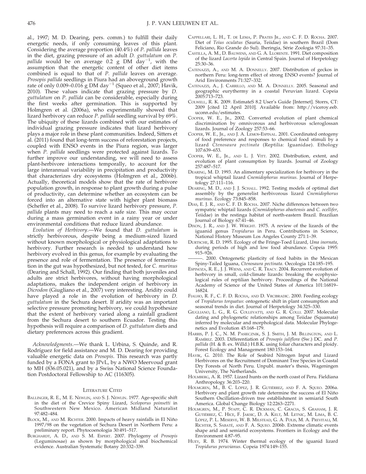al., 1997; M. D. Dearing, pers. comm.) to fulfill their daily energetic needs, if only consuming leaves of this plant. Considering the average proportion (40.4%) of P. pallida leaves in the diet, grazing pressure of an adult D. guttulatum on P. pallida would be on average 0.2 g DM  $\text{day}^{-1}$ , with the assumption that the energetic content of other diet items combined is equal to that of P. pallida leaves on average. Prosopis pallida seedlings in Piura had an aboveground growth rate of only 0.009–0.01 $\mathrm{6}\ \mathrm{g}$  DM day $^{-1}$  (Squeo et al., 2007; Havik, 2010). These values indicate that grazing pressure by D. guttulatum on P. pallida can be considerable, especially during the first weeks after germination. This is supported by Holmgren et al. (2006a), who experimentally showed that lizard herbivory can reduce P. pallida seedling survival by 69%. The ubiquity of these lizards combined with our estimates of individual grazing pressure indicates that lizard herbivory plays a major role in these plant communities. Indeed, Sitters et al. (2011) found that long-term success of reforestation projects, coupled with ENSO events in the Piura region, was larger when P. pallida seedlings were protected against lizards. To further improve our understanding, we will need to assess plant-herbivore interactions temporally, to account for the large interannual variability in precipitation and productivity that characterizes dry ecosystems (Holmgren et al., 2006b). Actually, theoretical models show that the rate of herbivore population growth, in response to plant growth during a pulse of productivity, can determine whether an ecosystem can be forced into an alternative state with higher plant biomass (Scheffer et al., 2008). To survive lizard herbivory pressure, P. pallida plants may need to reach a safe size. This may occur during a mass germination event in a rainy year or under environmental conditions that reduce lizard abundance.

Evolution of Herbivory.—We found that D. guttulatum is strictly herbivorous, despite being a medium-sized lizard without known morphological or physiological adaptations to herbivory. Further research is needed to understand how herbivory evolved in this genus, for example by evaluating the presence and role of fermentation. The presence of fermentation in the gut was hypothesized, but not tested, for C. murinus (Dearing and Schall, 1992). Our finding that both juveniles and adults are strict herbivores, without having morphological adaptations, makes the independent origin of herbivory in Dicrodon (Giugliano et al., 2007) very interesting. Aridity could have played a role in the evolution of herbivory in D. guttulatum in the Sechura desert. If aridity was an important selective pressure promoting herbivory, we could hypothesize that the extent of herbivory varied along a rainfall gradient from the Sechura desert to southern Ecuador. Testing this hypothesis will require a comparison of D. guttulatum diets and dietary preferences across this gradient.

Acknowledgments.—We thank L. Urbina, S. Quinde, and R. Rodríguez for field assistance and M. D. Dearing for providing valuable energetic data on Prosopis. This research was partly funded by a FONA grant to JPvL, by a NWO Meervoud grant to MH (836.05.021), and by a Swiss National Science Foundation Postdoctoral Fellowship to AC (116305).

### LITERATURE CITED

- BALLINGER, R. E., M. E. NEWLIN, AND S. J. NEWLIN. 1977. Age-specific shift in the diet of the Crevice Spiny Lizard, Sceloporus poinsetti in Southwestern New Mexico. American Midland Naturalist 97:482–484.
- BLOCK, M., AND M. RICHTER. 2000. Impacts of heavy rainfalls in El Niño 1997/98 on the vegetation of Sechura Desert in Northern Peru: a preliminary report. Phytocoenologia 30:491–517.
- BURGHARDT, A. D., AND S. M. ESPERT. 2007. Phylogeny of Prosopis (Leguminosae) as shown by morphological and biochemical evidence. Australian Systematic Botany 20:332–339.
- CAPPELLARI, L. H., T. DE LEMA, P. PRATES JR., AND C. F. D. ROCHA. 2007. Diet of Teius oculatus (Sauria, Teiidae) in southern Brazil (Dom Feliciano, Rio Grande do Sul). Iheringia, Série Zoologia 97:31-35.
- CASTILLA, A. M., D. BAUWENS, AND G. A. LLORENTE. 1991. Diet composition of the lizard Lacerta lepida in Central Spain. Journal of Herpetology 25:30–36.
- CATENAZZI, A., AND M. A. DONNELLY. 2007. Distribution of geckos in northern Peru: long-term effect of strong ENSO events? Journal of Arid Environments 71:327–332.
- CATENAZZI, A., J. CARRILLO, AND M. A. DONNELLY. 2005. Seasonal and geographic eurythermy in a coastal Peruvian lizard. Copeia 2005:713–723.
- COLWELL, R. K. 2009. EstimateS 8.2 User's Guide [Internet]. Storrs, CT: 2009 [cited 12 April 2010]. Available from: http://viceroy.eeb. uconn.edu/estimates.
- COOPER, W. E., JR., 2002. Converted evolution of plant chemical discrimination by omnivorous and herbivorous scleroglossan lizards. Journal of Zoology 257:53–66.
- COOPER, W. E., JR., AND J. A. LEMOS-ESPINAL. 2001. Coordinated ontogeny of food preference and responses to chemical food stimuli by a lizard Ctenosaura pectinata (Reptilia: Iguanidae). Ethology 107:639–653.
- COOPER, W. E., JR., AND L. J. VITT. 2002. Distribution, extent, and evolution of plant consumption by lizards. Journal of Zoology 257:487–517.
- DEARING, M. D. 1993. An alimentary specialization for herbivory in the tropical whiptail lizard Cnemidophorus murinus. Journal of Herpetology 27:111–116.
- DEARING, M. D., AND J. J. SCHALL. 1992. Testing models of optimal diet assembly by the generelist herbivorous lizard Cnemidophorus murinus. Ecology 73:845–858.
- DIAS, E. J. R., AND C. F. D. ROCHA. 2007. Niche differences between two sympatric whiptail lizards (Cnemidophorus abaetensis and C. ocellifer, Teiidae) in the restinga habitat of north-eastern Brazil. Brazilian Journal of Biology 67:41–46.
- DIXON, J. R., AND J. W. WRIGHT. 1975. A review of the lizards of the iguanid genus Tropidurus in Peru. Contributions in Science, National History Museum Los Angeles County 271:1–39.
- DURTSCHE, R. D. 1995. Ecology of the Fringe-Toed Lizard, Uma inornata, during periods of high and low food abundance. Copeia 1995: 915–926.
- -. 2000. Ontogenetic plasticity of food habits in the Mexican Spiny-Tailed Iguana, Ctenosaura pectinata. Oecologia 124:185–195.
- ESPINOZA, R. E., J. J. WIENS, AND C. R. TRACY. 2004. Recurrent evolution of herbivory in small, cold-climate lizards: breaking the ecophysiological rules of reptilian herbivory. Proceedings of the National Academy of Science of the United States of America 101:16819– 16824.
- FIALHO, R. F., C. F. D. ROCHA, AND D. VRCIBRADIC. 2000. Feeding ecology of Tropidurus torquatus: ontogenetic shift in plant consumption and seasonal trends in diet. Journal of Herpetology 34:325–330.
- GIUGLIANO, L. G., R. G. COLLEVATTI, AND G. R. COLLI. 2007. Molecular dating and phylogenetic relationships among Teiidae (Squamata) inferred by molecular and morphological data. Molecular Phylogenetics and Evolution 45:168–179.
- HARRIS, P. J. C., N. M. PASIECZNIK, S. J. SMITH, J. M. BILLINGTON, AND L. RAMÍREZ. 2003. Differentiation of Prosopis juliflora (Sw.) DC. and P. pallida (H. & B. ex. Willd.) H.B.K. using foliar characters and ploidy. Forest Ecology and Management 180:153–164.
- HAVIK, G. 2010. The Role of Seabird Nitrogen Input and Lizard Herbivores on the Recruitment of Dominant Tree Species in Coastal Dry Forests of North Peru. Unpubl. master's thesis, Wageningen University, The Netherlands.
- HOLMBERG, A. R. 1957. Lizard hunts on the north coast of Peru. Fieldiana Anthropology 36:203–220.
- HOLMGREN, M., B. C. LOPEZ, J. R. GUTIERREZ, AND F. A. SQUEO. 2006a. Herbivory and plant growth rate determine the success of El Niño Southern Oscillation-driven tree establishment in semiarid South America. Global Change Biology 12:2263–2271.
- HOLMGREN, M., P. STAPP, C. R. DICKMAN, C. GRACIA, S. GRAHAM, J. R. GUTIÉRREZ, C. HICE, F. JAKSIC, D. A. KELT, M. LETNIC, M. LIMA, B. C. LÓPEZ, P. L. MESERVE, W. B. MILSTEAD, G. A. POLIS, M. A. PREVITALI, M. RICHTER, S. SABATÉ, AND F. A. SQUEO. 2006b. Extreme climatic events shape arid and semiarid ecosystems. Frontiers in Ecology and the Environment 4:87–95.
- HUEY, R. B. 1974. Winter thermal ecology of the iguanid lizard Tropidurus peruvianus. Copeia 1974:149–155.